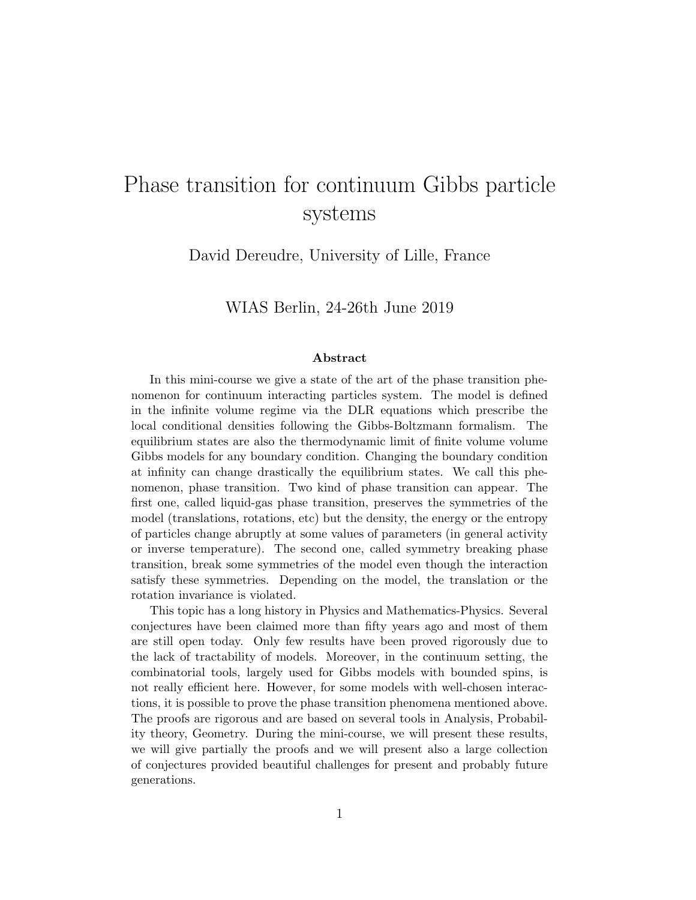## Phase transition for continuum Gibbs particle systems

David Dereudre, University of Lille, France

WIAS Berlin, 24-26th June 2019

## Abstract

In this mini-course we give a state of the art of the phase transition phenomenon for continuum interacting particles system. The model is defined in the infinite volume regime via the DLR equations which prescribe the local conditional densities following the Gibbs-Boltzmann formalism. The equilibrium states are also the thermodynamic limit of finite volume volume Gibbs models for any boundary condition. Changing the boundary condition at infinity can change drastically the equilibrium states. We call this phenomenon, phase transition. Two kind of phase transition can appear. The first one, called liquid-gas phase transition, preserves the symmetries of the model (translations, rotations, etc) but the density, the energy or the entropy of particles change abruptly at some values of parameters (in general activity or inverse temperature). The second one, called symmetry breaking phase transition, break some symmetries of the model even though the interaction satisfy these symmetries. Depending on the model, the translation or the rotation invariance is violated.

This topic has a long history in Physics and Mathematics-Physics. Several conjectures have been claimed more than fifty years ago and most of them are still open today. Only few results have been proved rigorously due to the lack of tractability of models. Moreover, in the continuum setting, the combinatorial tools, largely used for Gibbs models with bounded spins, is not really efficient here. However, for some models with well-chosen interactions, it is possible to prove the phase transition phenomena mentioned above. The proofs are rigorous and are based on several tools in Analysis, Probability theory, Geometry. During the mini-course, we will present these results, we will give partially the proofs and we will present also a large collection of conjectures provided beautiful challenges for present and probably future generations.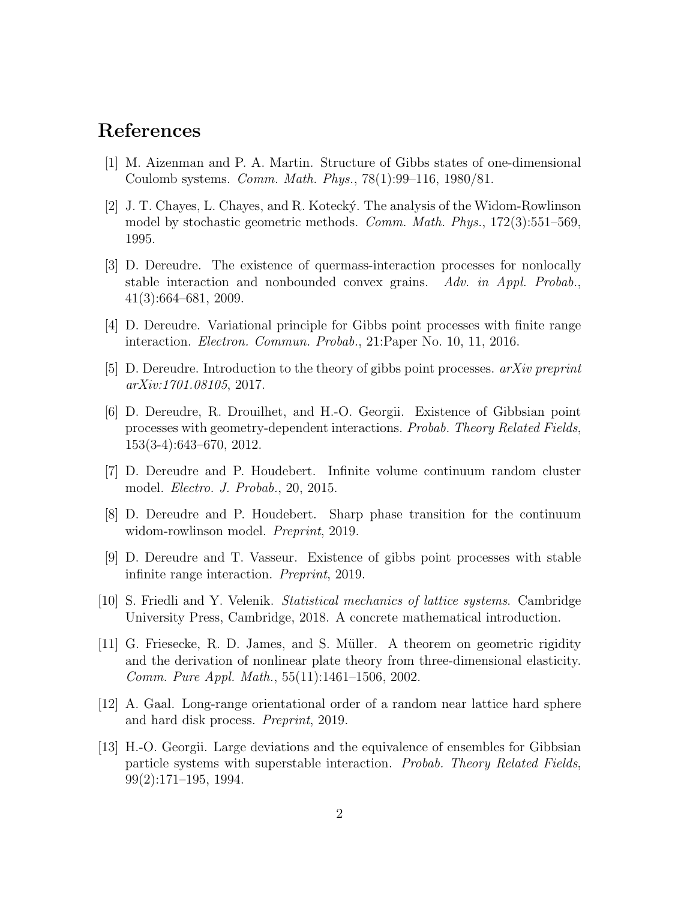## References

- [1] M. Aizenman and P. A. Martin. Structure of Gibbs states of one-dimensional Coulomb systems. Comm. Math. Phys., 78(1):99–116, 1980/81.
- [2] J. T. Chayes, L. Chayes, and R. Koteck´y. The analysis of the Widom-Rowlinson model by stochastic geometric methods. Comm. Math. Phys., 172(3):551–569, 1995.
- [3] D. Dereudre. The existence of quermass-interaction processes for nonlocally stable interaction and nonbounded convex grains. Adv. in Appl. Probab., 41(3):664–681, 2009.
- [4] D. Dereudre. Variational principle for Gibbs point processes with finite range interaction. Electron. Commun. Probab., 21:Paper No. 10, 11, 2016.
- [5] D. Dereudre. Introduction to the theory of gibbs point processes. arXiv preprint arXiv:1701.08105, 2017.
- [6] D. Dereudre, R. Drouilhet, and H.-O. Georgii. Existence of Gibbsian point processes with geometry-dependent interactions. Probab. Theory Related Fields, 153(3-4):643–670, 2012.
- [7] D. Dereudre and P. Houdebert. Infinite volume continuum random cluster model. Electro. J. Probab., 20, 2015.
- [8] D. Dereudre and P. Houdebert. Sharp phase transition for the continuum widom-rowlinson model. Preprint, 2019.
- [9] D. Dereudre and T. Vasseur. Existence of gibbs point processes with stable infinite range interaction. Preprint, 2019.
- [10] S. Friedli and Y. Velenik. Statistical mechanics of lattice systems. Cambridge University Press, Cambridge, 2018. A concrete mathematical introduction.
- [11] G. Friesecke, R. D. James, and S. Müller. A theorem on geometric rigidity and the derivation of nonlinear plate theory from three-dimensional elasticity. Comm. Pure Appl. Math., 55(11):1461–1506, 2002.
- [12] A. Gaal. Long-range orientational order of a random near lattice hard sphere and hard disk process. Preprint, 2019.
- [13] H.-O. Georgii. Large deviations and the equivalence of ensembles for Gibbsian particle systems with superstable interaction. Probab. Theory Related Fields, 99(2):171–195, 1994.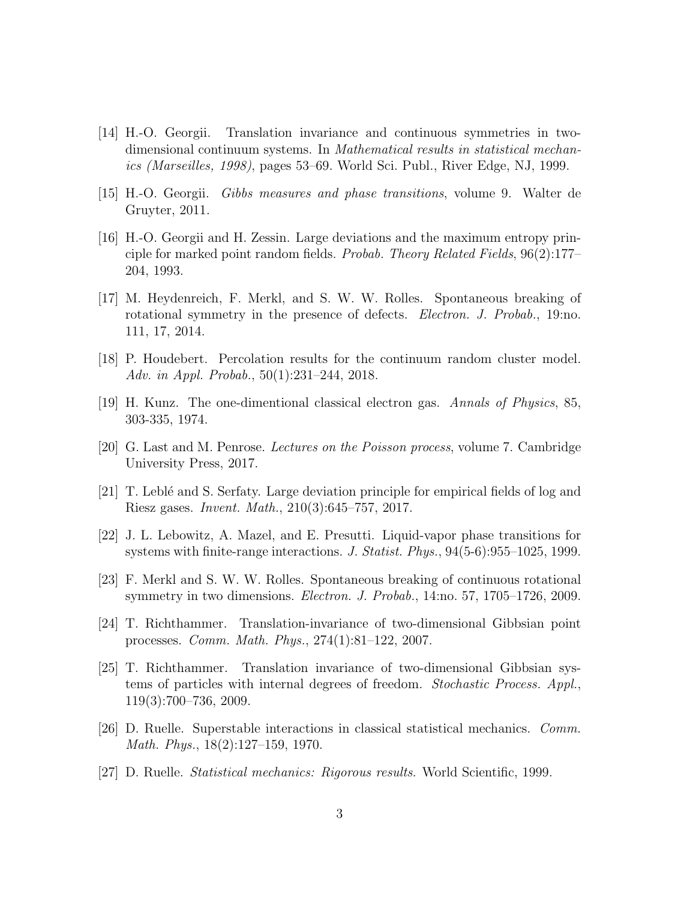- [14] H.-O. Georgii. Translation invariance and continuous symmetries in twodimensional continuum systems. In *Mathematical results in statistical mechan*ics (Marseilles, 1998), pages 53–69. World Sci. Publ., River Edge, NJ, 1999.
- [15] H.-O. Georgii. Gibbs measures and phase transitions, volume 9. Walter de Gruyter, 2011.
- [16] H.-O. Georgii and H. Zessin. Large deviations and the maximum entropy principle for marked point random fields. Probab. Theory Related Fields, 96(2):177– 204, 1993.
- [17] M. Heydenreich, F. Merkl, and S. W. W. Rolles. Spontaneous breaking of rotational symmetry in the presence of defects. *Electron. J. Probab.*, 19:no. 111, 17, 2014.
- [18] P. Houdebert. Percolation results for the continuum random cluster model. Adv. in Appl. Probab., 50(1):231–244, 2018.
- [19] H. Kunz. The one-dimentional classical electron gas. Annals of Physics, 85, 303-335, 1974.
- [20] G. Last and M. Penrose. Lectures on the Poisson process, volume 7. Cambridge University Press, 2017.
- [21] T. Lebl´e and S. Serfaty. Large deviation principle for empirical fields of log and Riesz gases. Invent. Math., 210(3):645–757, 2017.
- [22] J. L. Lebowitz, A. Mazel, and E. Presutti. Liquid-vapor phase transitions for systems with finite-range interactions. J. Statist. Phys., 94(5-6):955–1025, 1999.
- [23] F. Merkl and S. W. W. Rolles. Spontaneous breaking of continuous rotational symmetry in two dimensions. Electron. J. Probab., 14:no. 57, 1705–1726, 2009.
- [24] T. Richthammer. Translation-invariance of two-dimensional Gibbsian point processes. Comm. Math. Phys., 274(1):81–122, 2007.
- [25] T. Richthammer. Translation invariance of two-dimensional Gibbsian systems of particles with internal degrees of freedom. Stochastic Process. Appl., 119(3):700–736, 2009.
- [26] D. Ruelle. Superstable interactions in classical statistical mechanics. Comm. Math. Phys., 18(2):127–159, 1970.
- [27] D. Ruelle. Statistical mechanics: Rigorous results. World Scientific, 1999.